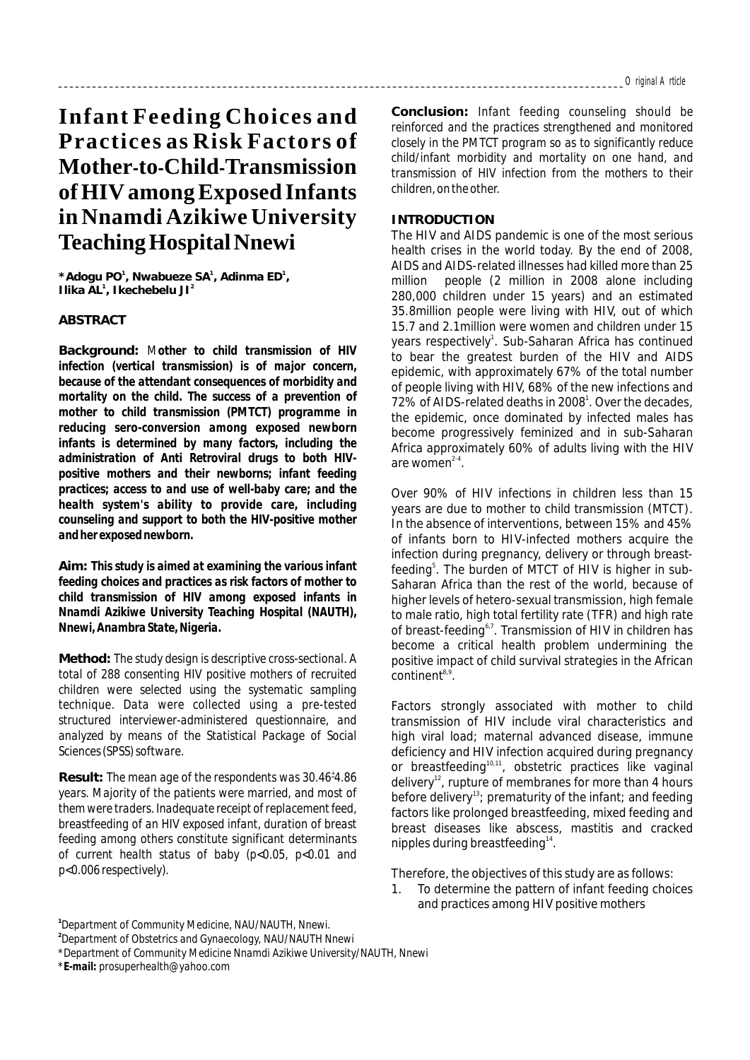# **Infant Feeding Choices and Practices as Risk Factors of Mother-to-Child-Transmission ofHIV amongExposed Infants in Nnamdi Azikiwe University TeachingHospitalNnewi**

**1 \*Adogu PO , Nwabueze SA , Adinma ED , 1 1 1 2 Ilika AL , Ikechebelu JI**

### **ABSTRACT**

**Background:** *Mother to child transmission of HIV infection (vertical transmission) is of major concern, because of the attendant consequences of morbidity and mortality on the child. The success of a prevention of mother to child transmission (PMTCT) programme in reducing sero-conversion among exposed newborn infants is determined by many factors, including the administration of Anti Retroviral drugs to both HIVpositive mothers and their newborns; infant feeding practices; access to and use of well-baby care; and the health system's ability to provide care, including counseling and support to both the HIV-positive mother and her exposed newborn.*

**Aim:** *This study is aimed at examining the various infant feeding choices and practices as risk factors of mother to child transmission of HIV among exposed infants in Nnamdi Azikiwe University Teaching Hospital (NAUTH), Nnewi, Anambra State, Nigeria.*

**Method:** *The study design is descriptive cross-sectional. A total of 288 consenting HIV positive mothers of recruited children were selected using the systematic sampling technique. Data were collected using a pre-tested structured interviewer-administered questionnaire, and analyzed by means of the Statistical Package of Social Sciences (SPSS) software.*

*<sup>+</sup>* **Result:** *The mean age of the respondents was 30.46 4.86 years. Majority of the patients were married, and most of them were traders. Inadequate receipt of replacement feed, breastfeeding of an HIV exposed infant, duration of breast feeding among others constitute significant determinants of current health status of baby (p<0.05, p<0.01 and p<0.006 respectively).*

**Conclusion:** *Infant feeding counseling should be reinforced and the practices strengthened and monitored closely in the PMTCT program so as to significantly reduce child/infant morbidity and mortality on one hand, and transmission of HIV infection from the mothers to their children, on the other.*

#### **INTRODUCTION**

The HIV and AIDS pandemic is one of the most serious health crises in the world today. By the end of 2008, AIDS and AIDS-related illnesses had killed more than 25 million people (2 million in 2008 alone including 280,000 children under 15 years) and an estimated 35.8million people were living with HIV, out of which 15.7 and 2.1million were women and children under 15 years respectively<sup>1</sup>. Sub-Saharan Africa has continued to bear the greatest burden of the HIV and AIDS epidemic, with approximately 67% of the total number of people living with HIV, 68% of the new infections and 72% of AIDS-related deaths in 2008<sup>1</sup>. Over the decades, the epidemic, once dominated by infected males has become progressively feminized and in sub-Saharan Africa approximately 60% of adults living with the HIV are women $2-4$ .

Over 90% of HIV infections in children less than 15 years are due to mother to child transmission (MTCT). In the absence of interventions, between 15% and 45% of infants born to HIV-infected mothers acquire the infection during pregnancy, delivery or through breastfeeding<sup>5</sup>. The burden of MTCT of HIV is higher in sub-Saharan Africa than the rest of the world, because of higher levels of hetero-sexual transmission, high female to male ratio, high total fertility rate (TFR) and high rate of breast-feeding<sup>6,7</sup>. Transmission of HIV in children has become a critical health problem undermining the positive impact of child survival strategies in the African  $continent<sup>8,9</sup>$ .

Factors strongly associated with mother to child transmission of HIV include viral characteristics and high viral load; maternal advanced disease, immune deficiency and HIV infection acquired during pregnancy or breastfeeding<sup>10,11</sup>, obstetric practices like vaginal delivery<sup>12</sup>, rupture of membranes for more than 4 hours before delivery<sup>13</sup>; prematurity of the infant; and feeding factors like prolonged breastfeeding, mixed feeding and breast diseases like abscess, mastitis and cracked nipples during breastfeeding $14$ .

Therefore, the objectives of this study are as follows:

1. To determine the pattern of infant feeding choices and practices among HIV positive mothers

**<sup>1</sup>** *Department of Community Medicine, NAU/NAUTH, Nnewi.*

**<sup>2</sup>** *Department of Obstetrics and Gynaecology, NAU/NAUTH Nnewi*

*<sup>\*</sup>Department of Community Medicine Nnamdi Azikiwe University/NAUTH, Nnewi*

*<sup>\*</sup>E-mail: prosuperhealth@yahoo.com*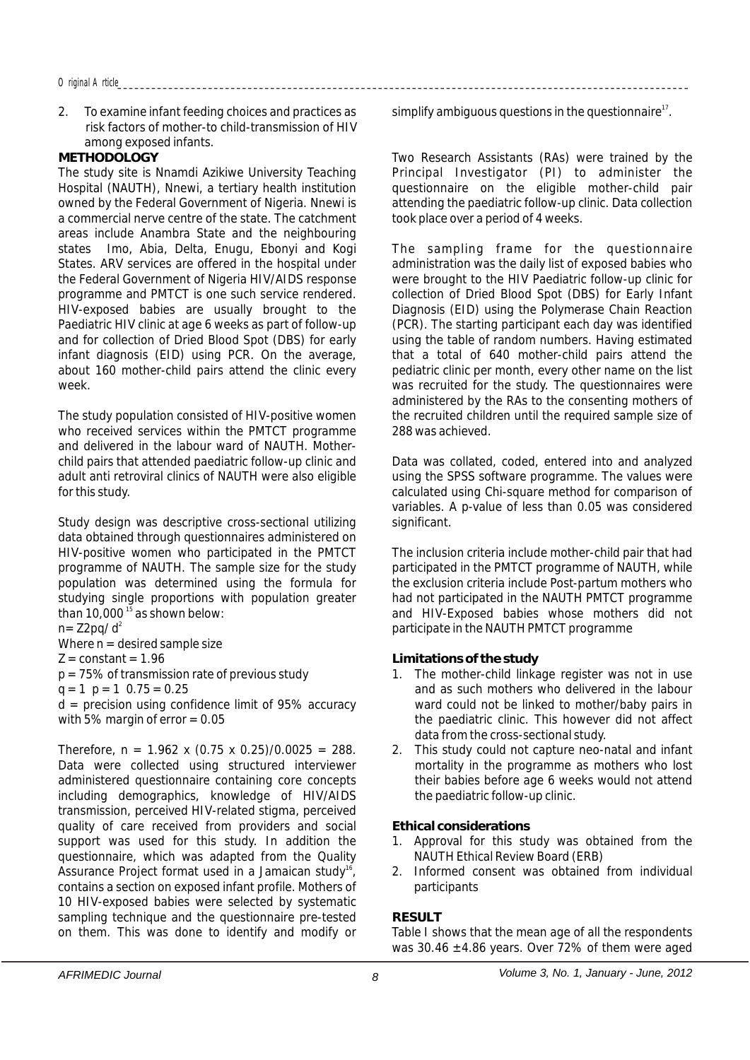2. To examine infant feeding choices and practices as risk factors of mother-to child-transmission of HIV among exposed infants.

# **METHODOLOGY**

The study site is Nnamdi Azikiwe University Teaching Hospital (NAUTH), Nnewi, a tertiary health institution owned by the Federal Government of Nigeria. Nnewi is a commercial nerve centre of the state. The catchment areas include Anambra State and the neighbouring states Imo, Abia, Delta, Enugu, Ebonyi and Kogi States. ARV services are offered in the hospital under the Federal Government of Nigeria HIV/AIDS response programme and PMTCT is one such service rendered. HIV-exposed babies are usually brought to the Paediatric HIV clinic at age 6 weeks as part of follow-up and for collection of Dried Blood Spot (DBS) for early infant diagnosis (EID) using PCR. On the average, about 160 mother-child pairs attend the clinic every week.

The study population consisted of HIV-positive women who received services within the PMTCT programme and delivered in the labour ward of NAUTH. Motherchild pairs that attended paediatric follow-up clinic and adult anti retroviral clinics of NAUTH were also eligible for this study.

Study design was descriptive cross-sectional utilizing data obtained through questionnaires administered on HIV-positive women who participated in the PMTCT programme of NAUTH. The sample size for the study population was determined using the formula for studying single proportions with population greater than  $10,000$ <sup>15</sup> as shown below:

 $n = Z2pq/d^2$ 

Where  $n =$  desired sample size

 $Z = constant = 1.96$ 

 $p = 75\%$  of transmission rate of previous study

 $q = 1$   $p = 1$  0.75 = 0.25

 $d =$  precision using confidence limit of 95% accuracy with 5% margin of  $error = 0.05$ 

Therefore,  $n = 1.962 \times (0.75 \times 0.25)/0.0025 = 288$ . Data were collected using structured interviewer administered questionnaire containing core concepts including demographics, knowledge of HIV/AIDS transmission, perceived HIV-related stigma, perceived quality of care received from providers and social support was used for this study. In addition the questionnaire, which was adapted from the Quality Assurance Project format used in a Jamaican study<sup>16</sup>, contains a section on exposed infant profile. Mothers of 10 HIV-exposed babies were selected by systematic sampling technique and the questionnaire pre-tested on them. This was done to identify and modify or

simplify ambiguous questions in the questionnaire<sup> $17$ </sup>.

Two Research Assistants (RAs) were trained by the Principal Investigator (PI) to administer the questionnaire on the eligible mother-child pair attending the paediatric follow-up clinic. Data collection took place over a period of 4 weeks.

The sampling frame for the questionnaire administration was the daily list of exposed babies who were brought to the HIV Paediatric follow-up clinic for collection of Dried Blood Spot (DBS) for Early Infant Diagnosis (EID) using the Polymerase Chain Reaction (PCR). The starting participant each day was identified using the table of random numbers. Having estimated that a total of 640 mother-child pairs attend the pediatric clinic per month, every other name on the list was recruited for the study. The questionnaires were administered by the RAs to the consenting mothers of the recruited children until the required sample size of 288 was achieved.

Data was collated, coded, entered into and analyzed using the SPSS software programme. The values were calculated using Chi-square method for comparison of variables. A p-value of less than 0.05 was considered significant.

The inclusion criteria include mother-child pair that had participated in the PMTCT programme of NAUTH, while the exclusion criteria include Post-partum mothers who had not participated in the NAUTH PMTCT programme and HIV-Exposed babies whose mothers did not participate in the NAUTH PMTCT programme

**Limitations of the study**

- 1. The mother-child linkage register was not in use and as such mothers who delivered in the labour ward could not be linked to mother/baby pairs in the paediatric clinic. This however did not affect data from the cross-sectional study.
- 2. This study could not capture neo-natal and infant mortality in the programme as mothers who lost their babies before age 6 weeks would not attend the paediatric follow-up clinic.

**Ethical considerations**

- 1. Approval for this study was obtained from the NAUTH Ethical Review Board (ERB)
- 2. Informed consent was obtained from individual participants

**RESULT**

Table I shows that the mean age of all the respondents was 30.46 ±4.86 years. Over 72% of them were aged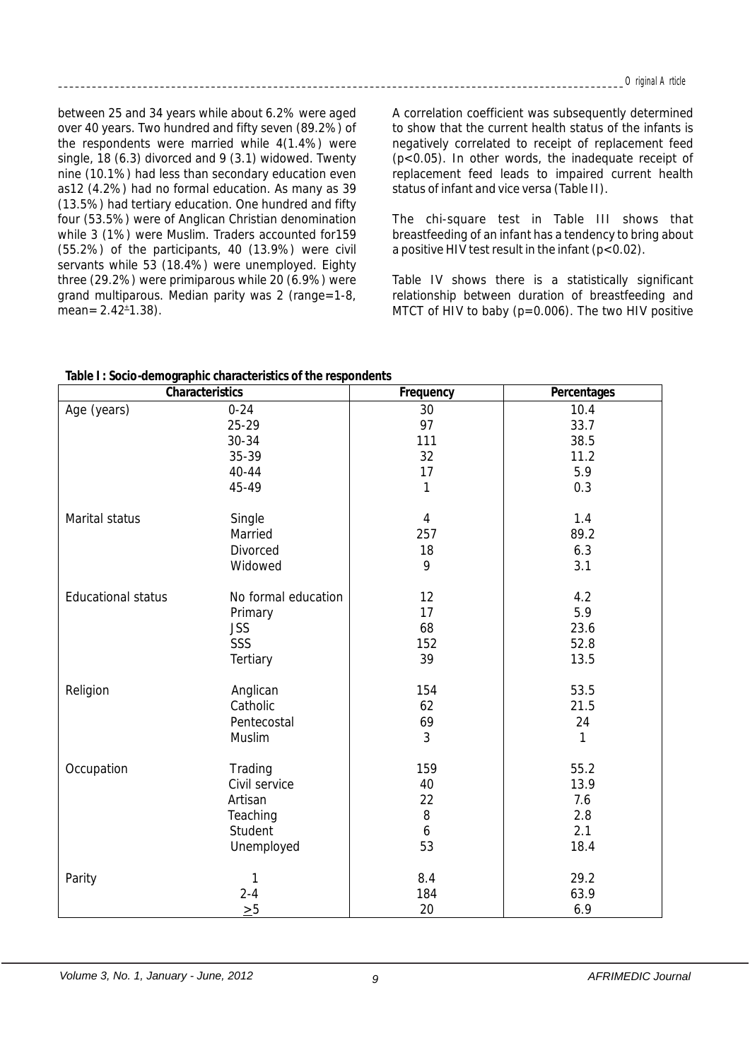between 25 and 34 years while about 6.2% were aged over 40 years. Two hundred and fifty seven (89.2%) of the respondents were married while 4(1.4%) were single, 18 (6.3) divorced and 9 (3.1) widowed. Twenty nine (10.1%) had less than secondary education even as12 (4.2%) had no formal education. As many as 39 (13.5%) had tertiary education. One hundred and fifty four (53.5%) were of Anglican Christian denomination while 3 (1%) were Muslim. Traders accounted for159 (55.2%) of the participants, 40 (13.9%) were civil servants while 53 (18.4%) were unemployed. Eighty three (29.2%) were primiparous while 20 (6.9%) were grand multiparous. Median parity was 2 (range=1-8,  $mean = 2.42^{\pm}1.38$ ).

A correlation coefficient was subsequently determined to show that the current health status of the infants is negatively correlated to receipt of replacement feed (p<0.05). In other words, the inadequate receipt of replacement feed leads to impaired current health status of infant and vice versa (Table II).

The chi-square test in Table III shows that breastfeeding of an infant has a tendency to bring about a positive HIV test result in the infant (p<0.02).

Table IV shows there is a statistically significant relationship between duration of breastfeeding and MTCT of HIV to baby  $(p=0.006)$ . The two HIV positive

| Table I: Socio-demographic characteristics of the respondents |  |
|---------------------------------------------------------------|--|
|---------------------------------------------------------------|--|

| rapio 1 : oodio aonitographiio dharadtoridtido or tho rod<br>Characteristics |                     | Frequency      | Percentages  |
|------------------------------------------------------------------------------|---------------------|----------------|--------------|
| Age (years)                                                                  | $0 - 24$            | 30             | 10.4         |
|                                                                              | 25-29               | 97             | 33.7         |
|                                                                              | 30-34               | 111            | 38.5         |
|                                                                              | 35-39               | 32             | 11.2         |
|                                                                              | 40-44               | 17             | 5.9          |
|                                                                              | 45-49               | 1              | 0.3          |
| Marital status                                                               | Single              | $\overline{4}$ | 1.4          |
|                                                                              | Married             | 257            | 89.2         |
|                                                                              | Divorced            | 18             | 6.3          |
|                                                                              | Widowed             | 9              | 3.1          |
| <b>Educational status</b>                                                    | No formal education | 12             | 4.2          |
|                                                                              | Primary             | 17             | 5.9          |
|                                                                              | <b>JSS</b>          | 68             | 23.6         |
|                                                                              | SSS                 | 152            | 52.8         |
|                                                                              | Tertiary            | 39             | 13.5         |
| Religion                                                                     | Anglican            | 154            | 53.5         |
|                                                                              | Catholic            | 62             | 21.5         |
|                                                                              | Pentecostal         | 69             | 24           |
|                                                                              | Muslim              | 3              | $\mathbf{1}$ |
| Occupation                                                                   | Trading             | 159            | 55.2         |
|                                                                              | Civil service       | 40             | 13.9         |
|                                                                              | Artisan             | 22             | 7.6          |
|                                                                              | Teaching            | $\, 8$         | 2.8          |
|                                                                              | Student             | 6              | 2.1          |
|                                                                              | Unemployed          | 53             | 18.4         |
| Parity                                                                       | $\mathbf{1}$        | 8.4            | 29.2         |
|                                                                              | $2 - 4$             | 184            | 63.9         |
|                                                                              | $\geq 5$            | 20             | 6.9          |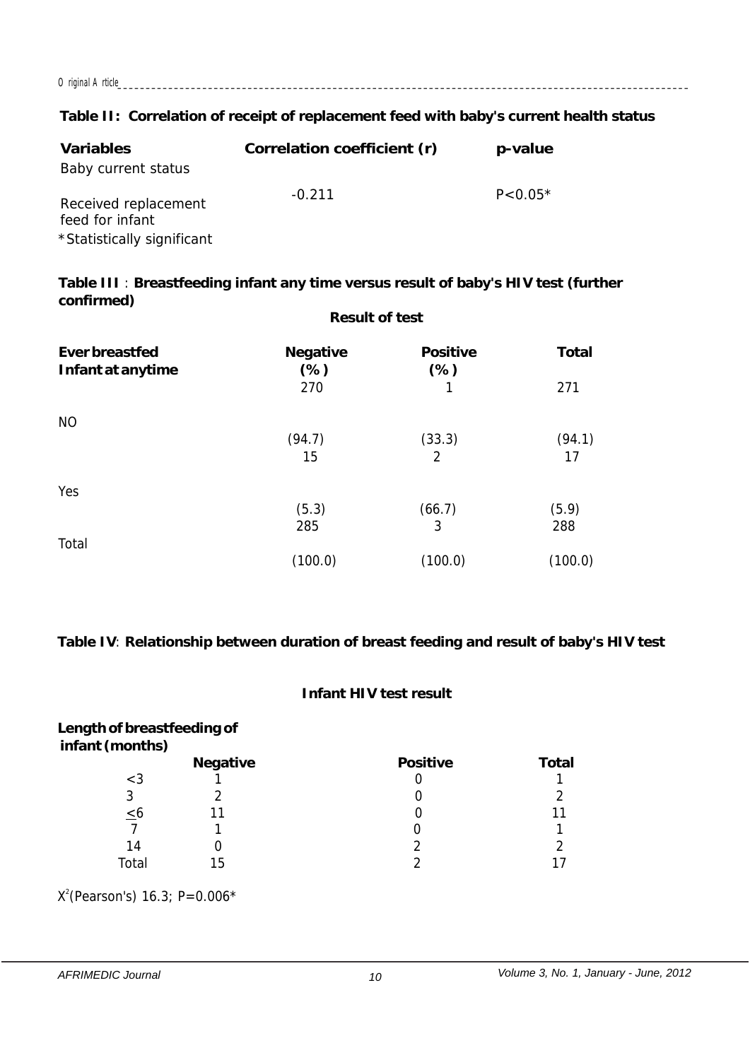*Original Article\_\_\_\_\_\_\_\_\_\_\_\_\_\_\_\_\_\_\_\_\_\_\_\_\_\_\_\_\_\_\_\_\_\_\_\_\_\_\_\_\_\_\_\_\_\_\_\_\_\_\_\_\_\_\_\_\_\_\_\_\_\_\_\_\_\_\_\_\_\_\_\_\_\_\_\_\_\_\_\_\_\_\_\_\_\_\_\_\_\_\_\_\_\_\_\_\_\_\_\_\_*

**Table II: Correlation of receipt of replacement feed with baby's current health status**

| Variables                                                             | Correlation coefficient (r) | p-value     |
|-----------------------------------------------------------------------|-----------------------------|-------------|
| Baby current status                                                   |                             |             |
| Received replacement<br>feed for infant<br>*Statistically significant | $-0.211$                    | $P < 0.05*$ |

**Table III** : **Breastfeeding infant any time versus result of baby's HIV test (further confirmed) Result of test**

|                                     | nusun un tust             |                          |                |  |
|-------------------------------------|---------------------------|--------------------------|----------------|--|
| Ever breastfed<br>Infant at anytime | Negative<br>$(\%)$<br>270 | Positive<br>$(\%)$<br>1  | Total<br>271   |  |
| <b>NO</b>                           | (94.7)<br>15              | (33.3)<br>$\overline{2}$ | (94.1)<br>17   |  |
| Yes                                 | (5.3)                     | (66.7)                   | (5.9)          |  |
| Total                               | 285<br>(100.0)            | 3<br>(100.0)             | 288<br>(100.0) |  |

**Table IV**: **Relationship between duration of breast feeding and result of baby's HIV test** 

# **Infant HIV test result**

| Length of breastfeeding of<br>infant (months) |          |          |       |
|-----------------------------------------------|----------|----------|-------|
|                                               | Negative | Positive | Total |
| $<$ 3                                         |          |          |       |
| 3                                             |          |          |       |
| <u>&lt;</u> ხ                                 |          |          |       |
|                                               |          |          |       |
| 14                                            |          |          |       |
| Total                                         | 15       |          |       |

 $X^2$ (Pearson's) 16.3; P=0.006\*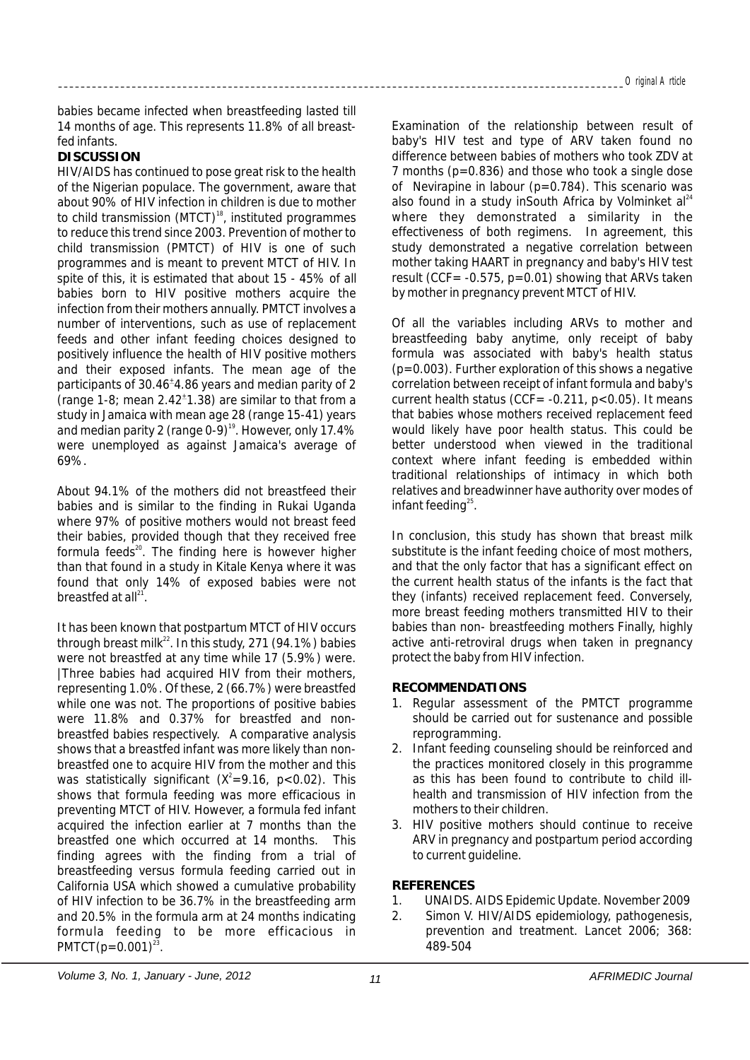babies became infected when breastfeeding lasted till 14 months of age. This represents 11.8% of all breastfed infants.

### **DISCUSSION**

HIV/AIDS has continued to pose great risk to the health of the Nigerian populace. The government, aware that about 90% of HIV infection in children is due to mother to child transmission (MTCT) $^{18}$ , instituted programmes to reduce this trend since 2003. Prevention of mother to child transmission (PMTCT) of HIV is one of such programmes and is meant to prevent MTCT of HIV. In spite of this, it is estimated that about 15 - 45% of all babies born to HIV positive mothers acquire the infection from their mothers annually. PMTCT involves a number of interventions, such as use of replacement feeds and other infant feeding choices designed to positively influence the health of HIV positive mothers and their exposed infants. The mean age of the participants of 30.46<sup>+</sup>4.86 years and median parity of 2 (range 1-8; mean  $2.42^{\pm}$ 1.38) are similar to that from a study in Jamaica with mean age 28 (range 15-41) years and median parity 2 (range 0-9)<sup>19</sup>. However, only 17.4% were unemployed as against Jamaica's average of 69%.

About 94.1% of the mothers did not breastfeed their babies and is similar to the finding in Rukai Uganda where 97% of positive mothers would not breast feed their babies, provided though that they received free formula feeds $^{20}$ . The finding here is however higher than that found in a study in Kitale Kenya where it was found that only 14% of exposed babies were not breastfed at all $^{21}$ .

It has been known that postpartum MTCT of HIV occurs through breast milk<sup>22</sup>. In this study, 271 (94.1%) babies were not breastfed at any time while 17 (5.9%) were. |Three babies had acquired HIV from their mothers, representing 1.0%. Of these, 2 (66.7%) were breastfed while one was not. The proportions of positive babies were 11.8% and 0.37% for breastfed and nonbreastfed babies respectively. A comparative analysis shows that a breastfed infant was more likely than nonbreastfed one to acquire HIV from the mother and this was statistically significant  $(X^2=9.16, p<0.02)$ . This shows that formula feeding was more efficacious in preventing MTCT of HIV. However, a formula fed infant acquired the infection earlier at 7 months than the breastfed one which occurred at 14 months. This finding agrees with the finding from a trial of breastfeeding versus formula feeding carried out in California USA which showed a cumulative probability of HIV infection to be 36.7% in the breastfeeding arm and 20.5% in the formula arm at 24 months indicating formula feeding to be more efficacious in PMTCT( $p=0.001$ )<sup>23</sup>.

Examination of the relationship between result of baby's HIV test and type of ARV taken found no difference between babies of mothers who took ZDV at 7 months (p=0.836) and those who took a single dose of Nevirapine in labour ( $p=0.784$ ). This scenario was also found in a study inSouth Africa by Volminket  $al^{24}$ where they demonstrated a similarity in the effectiveness of both regimens. In agreement, this study demonstrated a negative correlation between mother taking HAART in pregnancy and baby's HIV test result (CCF =  $-0.575$ , p=0.01) showing that ARVs taken by mother in pregnancy prevent MTCT of HIV.

Of all the variables including ARVs to mother and breastfeeding baby anytime, only receipt of baby formula was associated with baby's health status  $(p=0.003)$ . Further exploration of this shows a negative correlation between receipt of infant formula and baby's current health status (CCF=  $-0.211$ ,  $p < 0.05$ ). It means that babies whose mothers received replacement feed would likely have poor health status. This could be better understood when viewed in the traditional context where infant feeding is embedded within traditional relationships of intimacy in which both relatives and breadwinner have authority over modes of infant feeding $25$ .

In conclusion, this study has shown that breast milk substitute is the infant feeding choice of most mothers, and that the only factor that has a significant effect on the current health status of the infants is the fact that they (infants) received replacement feed. Conversely, more breast feeding mothers transmitted HIV to their babies than non- breastfeeding mothers Finally, highly active anti-retroviral drugs when taken in pregnancy protect the baby from HIV infection.

# **RECOMMENDATIONS**

- 1. Regular assessment of the PMTCT programme should be carried out for sustenance and possible reprogramming.
- 2. Infant feeding counseling should be reinforced and the practices monitored closely in this programme as this has been found to contribute to child illhealth and transmission of HIV infection from the mothers to their children.
- 3. HIV positive mothers should continue to receive ARV in pregnancy and postpartum period according to current guideline.

## **REFERENCES**

- 1. UNAIDS. AIDS Epidemic Update. November 2009
- 2. Simon V. HIV/AIDS epidemiology, pathogenesis, prevention and treatment. Lancet 2006; 368: 489-504